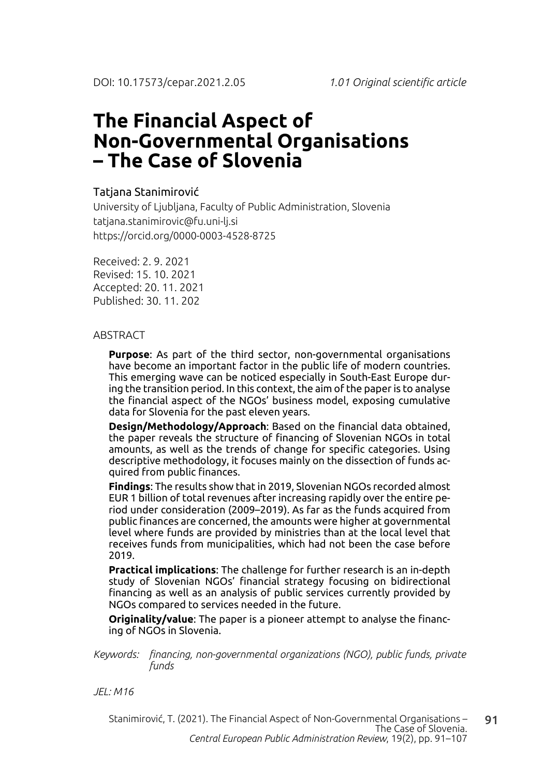# **The Financial Aspect of Non-Governmental Organisations – The Case of Slovenia**

### Tatjana Stanimirović

University of Ljubljana, Faculty of Public Administration, Slovenia tatjana.stanimirovic@fu.uni-lj.si https://orcid.org/0000-0003-4528-8725

Received: 2. 9. 2021 Revised: 15. 10. 2021 Accepted: 20. 11. 2021 Published: 30. 11. 202

#### **ABSTRACT**

**Purpose**: As part of the third sector, non-governmental organisations have become an important factor in the public life of modern countries. This emerging wave can be noticed especially in South-East Europe during the transition period. In this context, the aim of the paper is to analyse the financial aspect of the NGOs' business model, exposing cumulative data for Slovenia for the past eleven years.

**Design/Methodology/Approach**: Based on the financial data obtained, the paper reveals the structure of financing of Slovenian NGOs in total amounts, as well as the trends of change for specific categories. Using descriptive methodology, it focuses mainly on the dissection of funds acquired from public finances.

**Findings**: The results show that in 2019, Slovenian NGOs recorded almost EUR 1 billion of total revenues after increasing rapidly over the entire period under consideration (2009–2019). As far as the funds acquired from public finances are concerned, the amounts were higher at governmental level where funds are provided by ministries than at the local level that receives funds from municipalities, which had not been the case before 2019.

**Practical implications**: The challenge for further research is an in-depth study of Slovenian NGOs' financial strategy focusing on bidirectional financing as well as an analysis of public services currently provided by NGOs compared to services needed in the future.

**Originality/value**: The paper is a pioneer attempt to analyse the financing of NGOs in Slovenia.

*Keywords: financing, non-governmental organizations (NGO), public funds, private funds*

*JEL: M16*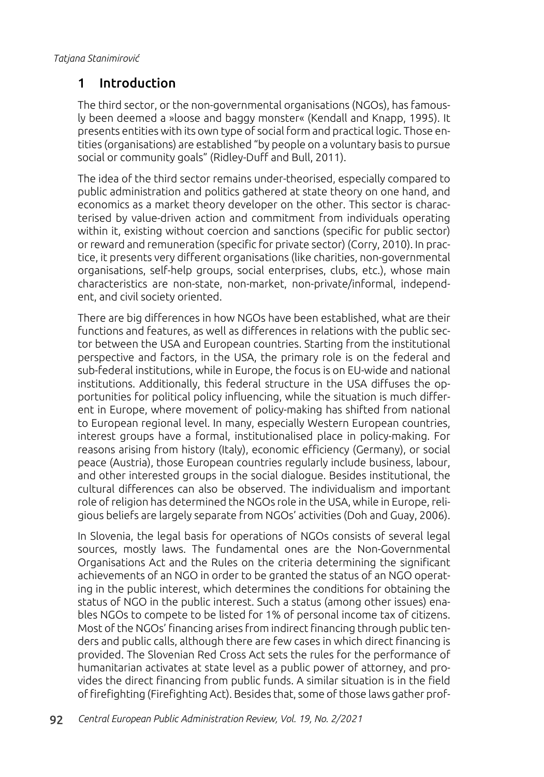### 1 Introduction

The third sector, or the non-governmental organisations (NGOs), has famously been deemed a »loose and baggy monster« (Kendall and Knapp, 1995). It presents entities with its own type of social form and practical logic. Those entities (organisations) are established "by people on a voluntary basis to pursue social or community goals" (Ridley-Duff and Bull, 2011).

The idea of the third sector remains under-theorised, especially compared to public administration and politics gathered at state theory on one hand, and economics as a market theory developer on the other. This sector is characterised by value-driven action and commitment from individuals operating within it, existing without coercion and sanctions (specific for public sector) or reward and remuneration (specific for private sector) (Corry, 2010). In practice, it presents very different organisations (like charities, non-governmental organisations, self-help groups, social enterprises, clubs, etc.), whose main characteristics are non-state, non-market, non-private/informal, independent, and civil society oriented.

There are big differences in how NGOs have been established, what are their functions and features, as well as differences in relations with the public sector between the USA and European countries. Starting from the institutional perspective and factors, in the USA, the primary role is on the federal and sub-federal institutions, while in Europe, the focus is on EU-wide and national institutions. Additionally, this federal structure in the USA diffuses the opportunities for political policy influencing, while the situation is much different in Europe, where movement of policy-making has shifted from national to European regional level. In many, especially Western European countries, interest groups have a formal, institutionalised place in policy-making. For reasons arising from history (Italy), economic efficiency (Germany), or social peace (Austria), those European countries regularly include business, labour, and other interested groups in the social dialogue. Besides institutional, the cultural differences can also be observed. The individualism and important role of religion has determined the NGOs role in the USA, while in Europe, religious beliefs are largely separate from NGOs' activities (Doh and Guay, 2006).

In Slovenia, the legal basis for operations of NGOs consists of several legal sources, mostly laws. The fundamental ones are the Non-Governmental Organisations Act and the Rules on the criteria determining the significant achievements of an NGO in order to be granted the status of an NGO operating in the public interest, which determines the conditions for obtaining the status of NGO in the public interest. Such a status (among other issues) enables NGOs to compete to be listed for 1% of personal income tax of citizens. Most of the NGOs' financing arises from indirect financing through public tenders and public calls, although there are few cases in which direct financing is provided. The Slovenian Red Cross Act sets the rules for the performance of humanitarian activates at state level as a public power of attorney, and provides the direct financing from public funds. A similar situation is in the field of firefighting (Firefighting Act). Besides that, some of those laws gather prof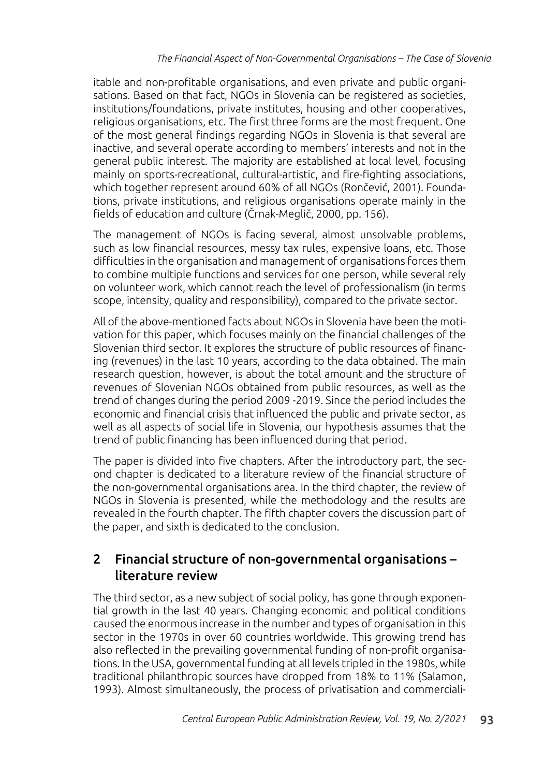itable and non-profitable organisations, and even private and public organisations. Based on that fact, NGOs in Slovenia can be registered as societies, institutions/foundations, private institutes, housing and other cooperatives, religious organisations, etc. The first three forms are the most frequent. One of the most general findings regarding NGOs in Slovenia is that several are inactive, and several operate according to members' interests and not in the general public interest. The majority are established at local level, focusing mainly on sports-recreational, cultural-artistic, and fire-fighting associations, which together represent around 60% of all NGOs (Rončević, 2001). Foundations, private institutions, and religious organisations operate mainly in the fields of education and culture (Črnak-Meglič, 2000, pp. 156).

The management of NGOs is facing several, almost unsolvable problems, such as low financial resources, messy tax rules, expensive loans, etc. Those difficulties in the organisation and management of organisations forces them to combine multiple functions and services for one person, while several rely on volunteer work, which cannot reach the level of professionalism (in terms scope, intensity, quality and responsibility), compared to the private sector.

All of the above-mentioned facts about NGOs in Slovenia have been the motivation for this paper, which focuses mainly on the financial challenges of the Slovenian third sector. It explores the structure of public resources of financing (revenues) in the last 10 years, according to the data obtained. The main research question, however, is about the total amount and the structure of revenues of Slovenian NGOs obtained from public resources, as well as the trend of changes during the period 2009 -2019. Since the period includes the economic and financial crisis that influenced the public and private sector, as well as all aspects of social life in Slovenia, our hypothesis assumes that the trend of public financing has been influenced during that period.

The paper is divided into five chapters. After the introductory part, the second chapter is dedicated to a literature review of the financial structure of the non-governmental organisations area. In the third chapter, the review of NGOs in Slovenia is presented, while the methodology and the results are revealed in the fourth chapter. The fifth chapter covers the discussion part of the paper, and sixth is dedicated to the conclusion.

### 2 Financial structure of non-governmental organisations – literature review

The third sector, as a new subject of social policy, has gone through exponential growth in the last 40 years. Changing economic and political conditions caused the enormous increase in the number and types of organisation in this sector in the 1970s in over 60 countries worldwide. This growing trend has also reflected in the prevailing governmental funding of non-profit organisations. In the USA, governmental funding at all levels tripled in the 1980s, while traditional philanthropic sources have dropped from 18% to 11% (Salamon, 1993). Almost simultaneously, the process of privatisation and commerciali-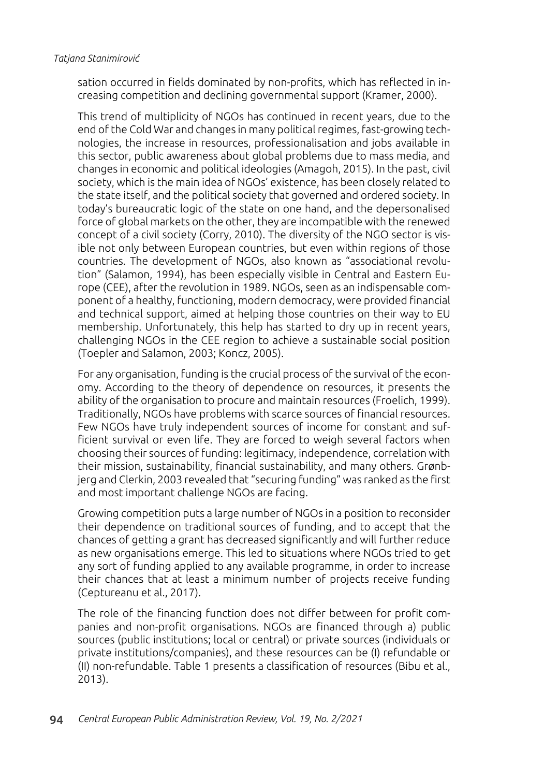sation occurred in fields dominated by non-profits, which has reflected in increasing competition and declining governmental support (Kramer, 2000).

This trend of multiplicity of NGOs has continued in recent years, due to the end of the Cold War and changes in many political regimes, fast-growing technologies, the increase in resources, professionalisation and jobs available in this sector, public awareness about global problems due to mass media, and changes in economic and political ideologies (Amagoh, 2015). In the past, civil society, which is the main idea of NGOs' existence, has been closely related to the state itself, and the political society that governed and ordered society. In today's bureaucratic logic of the state on one hand, and the depersonalised force of global markets on the other, they are incompatible with the renewed concept of a civil society (Corry, 2010). The diversity of the NGO sector is visible not only between European countries, but even within regions of those countries. The development of NGOs, also known as "associational revolution" (Salamon, 1994), has been especially visible in Central and Eastern Europe (CEE), after the revolution in 1989. NGOs, seen as an indispensable component of a healthy, functioning, modern democracy, were provided financial and technical support, aimed at helping those countries on their way to EU membership. Unfortunately, this help has started to dry up in recent years, challenging NGOs in the CEE region to achieve a sustainable social position (Toepler and Salamon, 2003; Koncz, 2005).

For any organisation, funding is the crucial process of the survival of the economy. According to the theory of dependence on resources, it presents the ability of the organisation to procure and maintain resources (Froelich, 1999). Traditionally, NGOs have problems with scarce sources of financial resources. Few NGOs have truly independent sources of income for constant and sufficient survival or even life. They are forced to weigh several factors when choosing their sources of funding: legitimacy, independence, correlation with their mission, sustainability, financial sustainability, and many others. Grønbjerg and Clerkin, 2003 revealed that "securing funding" was ranked as the first and most important challenge NGOs are facing.

Growing competition puts a large number of NGOs in a position to reconsider their dependence on traditional sources of funding, and to accept that the chances of getting a grant has decreased significantly and will further reduce as new organisations emerge. This led to situations where NGOs tried to get any sort of funding applied to any available programme, in order to increase their chances that at least a minimum number of projects receive funding (Ceptureanu et al., 2017).

The role of the financing function does not differ between for profit companies and non-profit organisations. NGOs are financed through a) public sources (public institutions; local or central) or private sources (individuals or private institutions/companies), and these resources can be (I) refundable or (II) non-refundable. Table 1 presents a classification of resources (Bibu et al., 2013).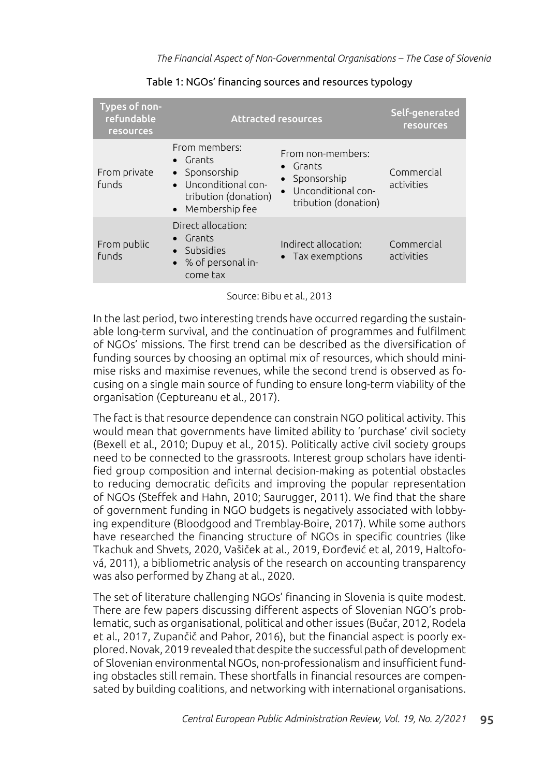| Types of non-<br>refundable<br><b>resources</b> | <b>Attracted resources</b>                                                                                             | Self-generated<br><b>resources</b>                                                                                |                          |
|-------------------------------------------------|------------------------------------------------------------------------------------------------------------------------|-------------------------------------------------------------------------------------------------------------------|--------------------------|
| From private<br><b>funds</b>                    | From members:<br>$\bullet$ Grants<br>• Sponsorship<br>• Unconditional con-<br>tribution (donation)<br>• Membership fee | From non-members:<br>$\bullet$ Grants<br>• Sponsorship<br>Unconditional con-<br>$\bullet$<br>tribution (donation) | Commercial<br>activities |
| From public<br><b>funds</b>                     | Direct allocation:<br>$\bullet$ Grants<br>• Subsidies<br>• % of personal in-<br>come tax                               | Indirect allocation:<br>• Tax exemptions                                                                          | Commercial<br>activities |

Table 1: NGOs' financing sources and resources typology

Source: Bibu et al., 2013

In the last period, two interesting trends have occurred regarding the sustainable long-term survival, and the continuation of programmes and fulfilment of NGOs' missions. The first trend can be described as the diversification of funding sources by choosing an optimal mix of resources, which should minimise risks and maximise revenues, while the second trend is observed as focusing on a single main source of funding to ensure long-term viability of the organisation (Ceptureanu et al., 2017).

The fact is that resource dependence can constrain NGO political activity. This would mean that governments have limited ability to 'purchase' civil society (Bexell et al., 2010; Dupuy et al., 2015). Politically active civil society groups need to be connected to the grassroots. Interest group scholars have identified group composition and internal decision-making as potential obstacles to reducing democratic deficits and improving the popular representation of NGOs (Steffek and Hahn, 2010; Saurugger, 2011). We find that the share of government funding in NGO budgets is negatively associated with lobbying expenditure (Bloodgood and Tremblay-Boire, 2017). While some authors have researched the financing structure of NGOs in specific countries (like Tkachuk and Shvets, 2020, Vašiček at al., 2019, Đorđević et al, 2019, Haltofová, 2011), a bibliometric analysis of the research on accounting transparency was also performed by Zhang at al., 2020.

The set of literature challenging NGOs' financing in Slovenia is quite modest. There are few papers discussing different aspects of Slovenian NGO's problematic, such as organisational, political and other issues (Bučar, 2012, Rodela et al., 2017, Zupančič and Pahor, 2016), but the financial aspect is poorly explored. Novak, 2019 revealed that despite the successful path of development of Slovenian environmental NGOs, non-professionalism and insufficient funding obstacles still remain. These shortfalls in financial resources are compensated by building coalitions, and networking with international organisations.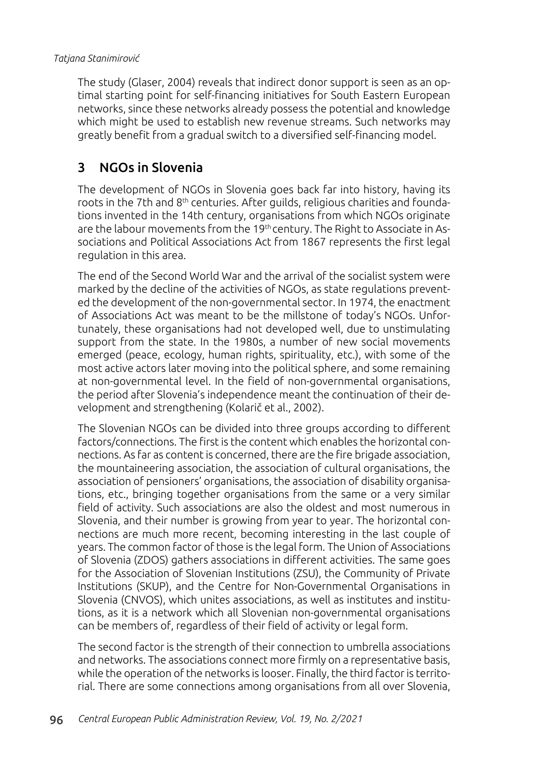The study (Glaser, 2004) reveals that indirect donor support is seen as an optimal starting point for self-financing initiatives for South Eastern European networks, since these networks already possess the potential and knowledge which might be used to establish new revenue streams. Such networks may greatly benefit from a gradual switch to a diversified self-financing model.

## 3 NGOs in Slovenia

The development of NGOs in Slovenia goes back far into history, having its roots in the 7th and  $8<sup>th</sup>$  centuries. After quilds, religious charities and foundations invented in the 14th century, organisations from which NGOs originate are the labour movements from the 19<sup>th</sup> century. The Right to Associate in Associations and Political Associations Act from 1867 represents the first legal regulation in this area.

The end of the Second World War and the arrival of the socialist system were marked by the decline of the activities of NGOs, as state regulations prevented the development of the non-governmental sector. In 1974, the enactment of Associations Act was meant to be the millstone of today's NGOs. Unfortunately, these organisations had not developed well, due to unstimulating support from the state. In the 1980s, a number of new social movements emerged (peace, ecology, human rights, spirituality, etc.), with some of the most active actors later moving into the political sphere, and some remaining at non-governmental level. In the field of non-governmental organisations, the period after Slovenia's independence meant the continuation of their development and strengthening (Kolarič et al., 2002).

The Slovenian NGOs can be divided into three groups according to different factors/connections. The first is the content which enables the horizontal connections. As far as content is concerned, there are the fire brigade association, the mountaineering association, the association of cultural organisations, the association of pensioners' organisations, the association of disability organisations, etc., bringing together organisations from the same or a very similar field of activity. Such associations are also the oldest and most numerous in Slovenia, and their number is growing from year to year. The horizontal connections are much more recent, becoming interesting in the last couple of years. The common factor of those is the legal form. The Union of Associations of Slovenia (ZDOS) gathers associations in different activities. The same goes for the Association of Slovenian Institutions (ZSU), the Community of Private Institutions (SKUP), and the Centre for Non-Governmental Organisations in Slovenia (CNVOS), which unites associations, as well as institutes and institutions, as it is a network which all Slovenian non-governmental organisations can be members of, regardless of their field of activity or legal form.

The second factor is the strength of their connection to umbrella associations and networks. The associations connect more firmly on a representative basis, while the operation of the networks is looser. Finally, the third factor is territorial. There are some connections among organisations from all over Slovenia,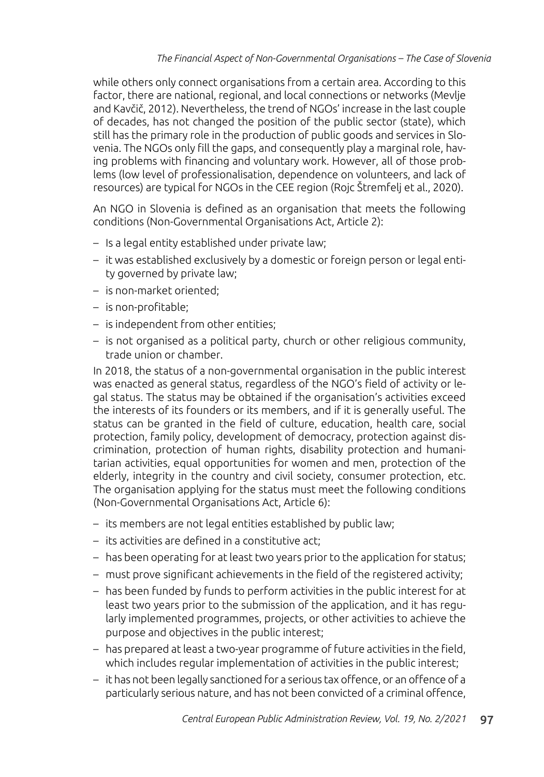while others only connect organisations from a certain area. According to this factor, there are national, regional, and local connections or networks (Mevlje and Kavčič, 2012). Nevertheless, the trend of NGOs' increase in the last couple of decades, has not changed the position of the public sector (state), which still has the primary role in the production of public goods and services in Slovenia. The NGOs only fill the gaps, and consequently play a marginal role, having problems with financing and voluntary work. However, all of those problems (low level of professionalisation, dependence on volunteers, and lack of resources) are typical for NGOs in the CEE region (Rojc Štremfelj et al., 2020).

An NGO in Slovenia is defined as an organisation that meets the following conditions (Non-Governmental Organisations Act, Article 2):

- Is a legal entity established under private law;
- it was established exclusively by a domestic or foreign person or legal entity governed by private law;
- is non-market oriented;
- is non-profitable;
- is independent from other entities;
- is not organised as a political party, church or other religious community, trade union or chamber.

In 2018, the status of a non-governmental organisation in the public interest was enacted as general status, regardless of the NGO's field of activity or legal status. The status may be obtained if the organisation's activities exceed the interests of its founders or its members, and if it is generally useful. The status can be granted in the field of culture, education, health care, social protection, family policy, development of democracy, protection against discrimination, protection of human rights, disability protection and humanitarian activities, equal opportunities for women and men, protection of the elderly, integrity in the country and civil society, consumer protection, etc. The organisation applying for the status must meet the following conditions (Non-Governmental Organisations Act, Article 6):

- its members are not legal entities established by public law;
- its activities are defined in a constitutive act;
- has been operating for at least two years prior to the application for status;
- must prove significant achievements in the field of the registered activity;
- has been funded by funds to perform activities in the public interest for at least two years prior to the submission of the application, and it has regularly implemented programmes, projects, or other activities to achieve the purpose and objectives in the public interest;
- has prepared at least a two-year programme of future activities in the field, which includes regular implementation of activities in the public interest;
- it has not been legally sanctioned for a serious tax offence, or an offence of a particularly serious nature, and has not been convicted of a criminal offence,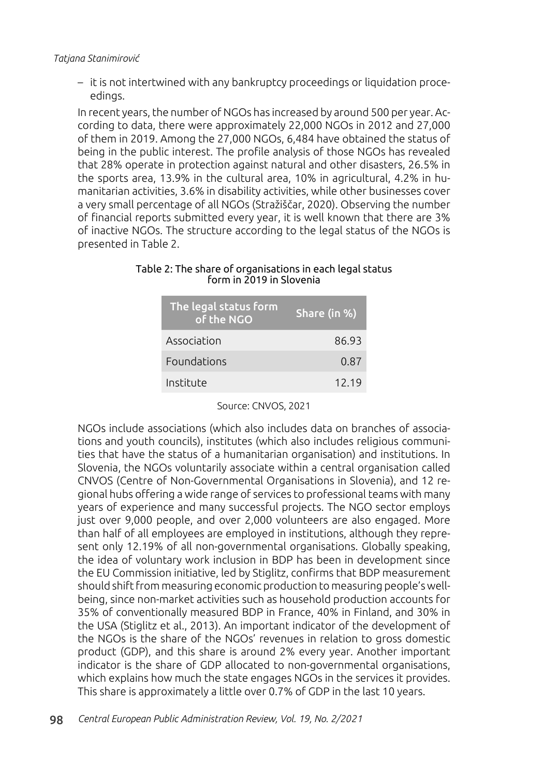– it is not intertwined with any bankruptcy proceedings or liquidation proceedings.

In recent years, the number of NGOs has increased by around 500 per year. According to data, there were approximately 22,000 NGOs in 2012 and 27,000 of them in 2019. Among the 27,000 NGOs, 6,484 have obtained the status of being in the public interest. The profile analysis of those NGOs has revealed that 28% operate in protection against natural and other disasters, 26.5% in the sports area, 13.9% in the cultural area, 10% in agricultural, 4.2% in humanitarian activities, 3.6% in disability activities, while other businesses cover a very small percentage of all NGOs (Stražiščar, 2020). Observing the number of financial reports submitted every year, it is well known that there are 3% of inactive NGOs. The structure according to the legal status of the NGOs is presented in Table 2.

| Table 2: The share of organisations in each legal status |  |
|----------------------------------------------------------|--|
| form in 2019 in Slovenia                                 |  |

| The legal status form<br>of the NGO | Share (in %) |  |  |
|-------------------------------------|--------------|--|--|
| Association                         | 86.93        |  |  |
| Foundations                         | 0.87         |  |  |
| Institute                           | 12 19        |  |  |

Source: CNVOS, 2021

NGOs include associations (which also includes data on branches of associations and youth councils), institutes (which also includes religious communities that have the status of a humanitarian organisation) and institutions. In Slovenia, the NGOs voluntarily associate within a central organisation called CNVOS (Centre of Non-Governmental Organisations in Slovenia), and 12 regional hubs offering a wide range of services to professional teams with many years of experience and many successful projects. The NGO sector employs just over 9,000 people, and over 2,000 volunteers are also engaged. More than half of all employees are employed in institutions, although they represent only 12.19% of all non-governmental organisations. Globally speaking, the idea of voluntary work inclusion in BDP has been in development since the EU Commission initiative, led by Stiglitz, confirms that BDP measurement should shift from measuring economic production to measuring people's wellbeing, since non-market activities such as household production accounts for 35% of conventionally measured BDP in France, 40% in Finland, and 30% in the USA (Stiglitz et al., 2013). An important indicator of the development of the NGOs is the share of the NGOs' revenues in relation to gross domestic product (GDP), and this share is around 2% every year. Another important indicator is the share of GDP allocated to non-governmental organisations, which explains how much the state engages NGOs in the services it provides. This share is approximately a little over 0.7% of GDP in the last 10 years.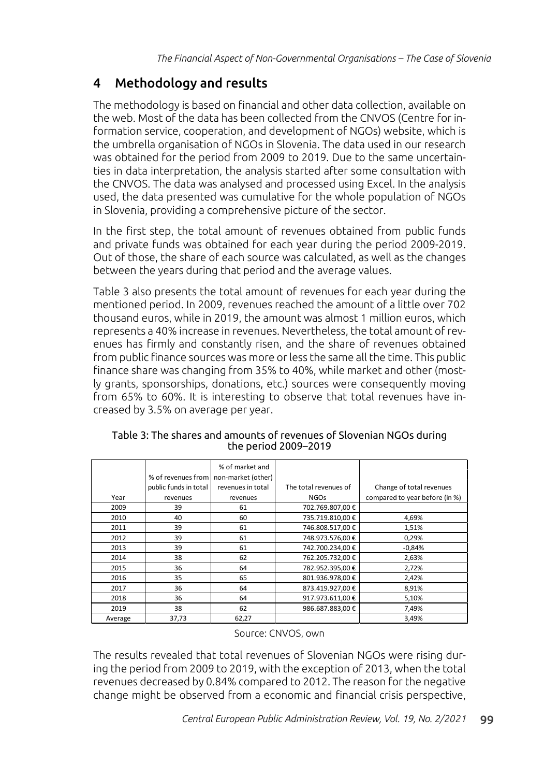### 4 Methodology and results

The methodology is based on financial and other data collection, available on the web. Most of the data has been collected from the CNVOS (Centre for information service, cooperation, and development of NGOs) website, which is the umbrella organisation of NGOs in Slovenia. The data used in our research was obtained for the period from 2009 to 2019. Due to the same uncertainties in data interpretation, the analysis started after some consultation with the CNVOS. The data was analysed and processed using Excel. In the analysis used, the data presented was cumulative for the whole population of NGOs in Slovenia, providing a comprehensive picture of the sector.

In the first step, the total amount of revenues obtained from public funds and private funds was obtained for each year during the period 2009-2019. Out of those, the share of each source was calculated, as well as the changes between the years during that period and the average values.

Table 3 also presents the total amount of revenues for each year during the mentioned period. In 2009, revenues reached the amount of a little over 702 thousand euros, while in 2019, the amount was almost 1 million euros, which represents a 40% increase in revenues. Nevertheless, the total amount of revenues has firmly and constantly risen, and the share of revenues obtained from public finance sources was more or less the same all the time. This public finance share was changing from 35% to 40%, while market and other (mostly grants, sponsorships, donations, etc.) sources were consequently moving from 65% to 60%. It is interesting to observe that total revenues have increased by 3.5% on average per year.

|         | % of revenues from    | % of market and<br>non-market (other) |                       |                                |
|---------|-----------------------|---------------------------------------|-----------------------|--------------------------------|
|         | public funds in total | revenues in total                     | The total revenues of | Change of total revenues       |
| Year    | revenues              | revenues                              | <b>NGOs</b>           | compared to year before (in %) |
| 2009    | 39                    | 61                                    | 702.769.807,00 €      |                                |
| 2010    | 40                    | 60                                    | 735.719.810,00 €      | 4,69%                          |
| 2011    | 39                    | 61                                    | 746.808.517,00 €      | 1,51%                          |
| 2012    | 39                    | 61                                    | 748.973.576,00 €      | 0,29%                          |
| 2013    | 39                    | 61                                    | 742.700.234.00 €      | $-0.84%$                       |
| 2014    | 38                    | 62                                    | 762.205.732,00 €      | 2,63%                          |
| 2015    | 36                    | 64                                    | 782.952.395.00 €      | 2,72%                          |
| 2016    | 35                    | 65                                    | 801.936.978,00 €      | 2,42%                          |
| 2017    | 36                    | 64                                    | 873.419.927.00 €      | 8,91%                          |
| 2018    | 36                    | 64                                    | 917.973.611,00 €      | 5,10%                          |
| 2019    | 38                    | 62                                    | 986.687.883,00 €      | 7,49%                          |
| Average | 37,73                 | 62,27                                 |                       | 3,49%                          |

Table 3: The shares and amounts of revenues of Slovenian NGOs during the period 2009–2019

#### Source: CNVOS, own

The results revealed that total revenues of Slovenian NGOs were rising during the period from 2009 to 2019, with the exception of 2013, when the total revenues decreased by 0.84% compared to 2012. The reason for the negative change might be observed from a economic and financial crisis perspective,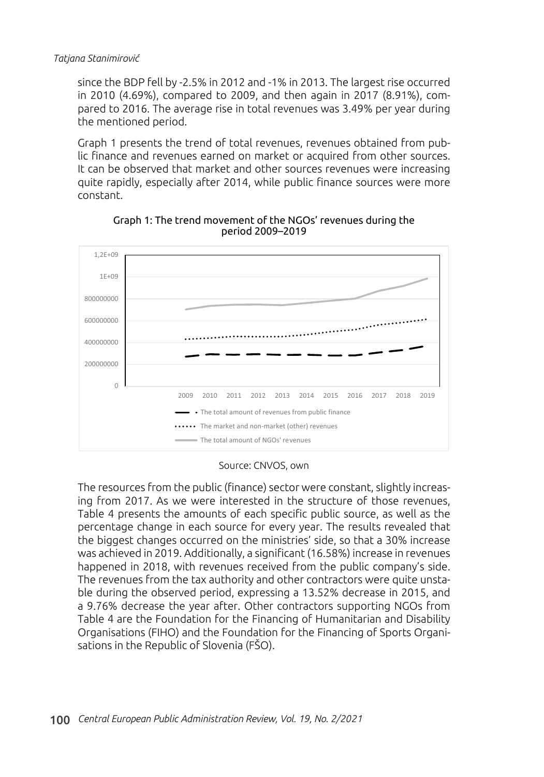since the BDP fell by -2.5% in 2012 and -1% in 2013. The largest rise occurred in 2010 (4.69%), compared to 2009, and then again in 2017 (8.91%), compared to 2016. The average rise in total revenues was 3.49% per year during the mentioned period.

Graph 1 presents the trend of total revenues, revenues obtained from public finance and revenues earned on market or acquired from other sources. It can be observed that market and other sources revenues were increasing quite rapidly, especially after 2014, while public finance sources were more constant.



Graph 1: The trend movement of the NGOs' revenues during the period 2009–2019

Source: CNVOS, own

The resources from the public (finance) sector were constant, slightly increasing from 2017. As we were interested in the structure of those revenues, Table 4 presents the amounts of each specific public source, as well as the percentage change in each source for every year. The results revealed that the biggest changes occurred on the ministries' side, so that a 30% increase was achieved in 2019. Additionally, a significant (16.58%) increase in revenues happened in 2018, with revenues received from the public company's side. The revenues from the tax authority and other contractors were quite unstable during the observed period, expressing a 13.52% decrease in 2015, and a 9.76% decrease the year after. Other contractors supporting NGOs from Table 4 are the Foundation for the Financing of Humanitarian and Disability Organisations (FIHO) and the Foundation for the Financing of Sports Organisations in the Republic of Slovenia (FŠO).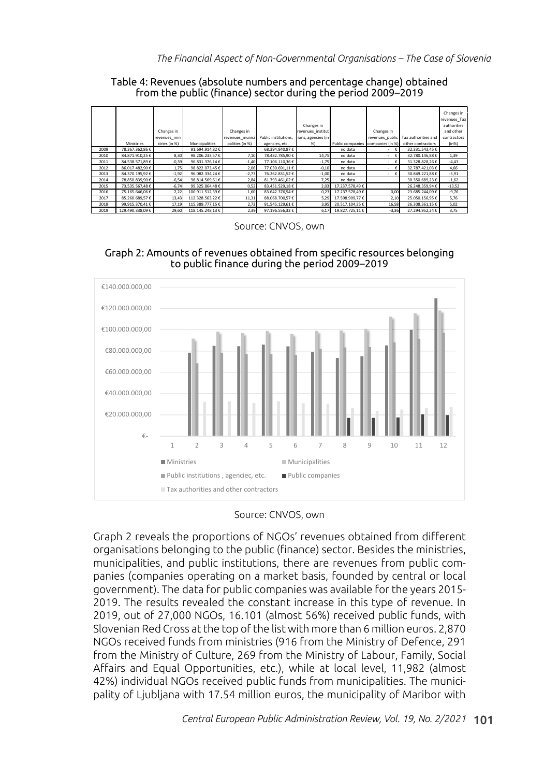|      |                  |               |                  |                 |                      |                    |                  |                  |                     | Changes in   |
|------|------------------|---------------|------------------|-----------------|----------------------|--------------------|------------------|------------------|---------------------|--------------|
|      |                  |               |                  |                 |                      |                    |                  |                  |                     | revenues Tax |
|      |                  |               |                  |                 |                      | Changes in         |                  |                  |                     | authorities  |
|      |                  | Changes in    |                  | Changes in      |                      | revenues institut  |                  | Changes in       |                     | and other    |
|      |                  | revenues mini |                  | revenues munici | Public institutions. | ions, agencies (in |                  | revenues_public  | Tax authorities and | contractors  |
|      | Ministries       | stries (in %) | Municipalities   | palities (in %) | agencies, etc.       | %                  | Public companies | companies (in %) | other contractors   | (in% )       |
| 2009 | 78.367.362,86 €  |               | 91.694.914,82 €  |                 | 68.394.840,87€       |                    | no data          | €                | 32.331.543,45 €     |              |
| 2010 | 84.871.910,25€   | 8,30          | 98.206.233.57€   | 7,10            | 78.482.785,90 €      | 14,75              | no data          | €<br>٠           | 32.780.146,88 €     | 1,39         |
| 2011 | 84.538.571,89 €  | $-0,39$       | 96.831.376,14€   | $-1,40$         | 77.106.110,36 €      | $-1,75$            | no data          | €                | 31.328.828,26€      | $-4,43$      |
| 2012 | 86.017.482,90 €  | 1,75          | 98.822.073,45€   | 2,06            | 77.030.691,11€       | $-0,10$            | no data          | €<br>$\sim$      | 32.787.421,03 €     | 4,66         |
| 2013 | 84.370.195,92 €  | $-1,92$       | 96.082.334.24 €  | $-2,77$         | 76.262.831,52€       | $-1,00$            | no data          | €<br>$\sim$      | 30.849.221,88 €     | $-5,91$      |
| 2014 | 78.850.839,90 €  | $-6,54$       | 98.814.569,61€   | 2,84            | 81.793.461,02 €      | 7.25               | no data          |                  | 30.350.689.23€      | $-1,62$      |
| 2015 | 73.535.567,48€   | $-6,74$       | 99.325.864,48€   | 0,52            | 83.451.529,18€       | 2,03               | 17.237.578,49€   |                  | 26.248.359.94€      | $-13,52$     |
| 2016 | 75.165.646,06€   | 2,22          | 100.911.512,39 € | 1,60            | 83.642.376,54 €      | 0,23               | 17.237.578,49€   | 0,00             | 23.685.244,09 €     | $-9,76$      |
| 2017 | 85.260.689,57€   | 13,43         | 112.328.563,22 € | 11,31           | 88.068.700,57€       | 5,29               | 17.598.909,77€   | 2,10             | 25.050.156,95€      | 5,76         |
| 2018 | 99.915.370.41€   | 17,19         | 115.389.777.15€  | 2,73            | 91.545.129.61€       | 3,95               | 20.517.104,35€   | 16,58            | 26.308.361,15€      | 5,02         |
| 2019 | 129.490.338,09 € | 29,60         | 118.145.248,13€  | 2,39            | 97.196.556,32€       | 6,17               | 19.827.725,11€   | $-3,36$          | 27.294.952,24€      | 3,75         |

Table 4: Revenues (absolute numbers and percentage change) obtained from the public (finance) sector during the period 2009–2019

Source: CNVOS, own





#### Source: CNVOS, own

Graph 2 reveals the proportions of NGOs' revenues obtained from different organisations belonging to the public (finance) sector. Besides the ministries, municipalities, and public institutions, there are revenues from public companies (companies operating on a market basis, founded by central or local government). The data for public companies was available for the years 2015- 2019. The results revealed the constant increase in this type of revenue. In 2019, out of 27,000 NGOs, 16.101 (almost 56%) received public funds, with Slovenian Red Cross at the top of the list with more than 6 million euros. 2,870 NGOs received funds from ministries (916 from the Ministry of Defence, 291 from the Ministry of Culture, 269 from the Ministry of Labour, Family, Social Affairs and Equal Opportunities, etc.), while at local level, 11,982 (almost 42%) individual NGOs received public funds from municipalities. The municipality of Ljubljana with 17.54 million euros, the municipality of Maribor with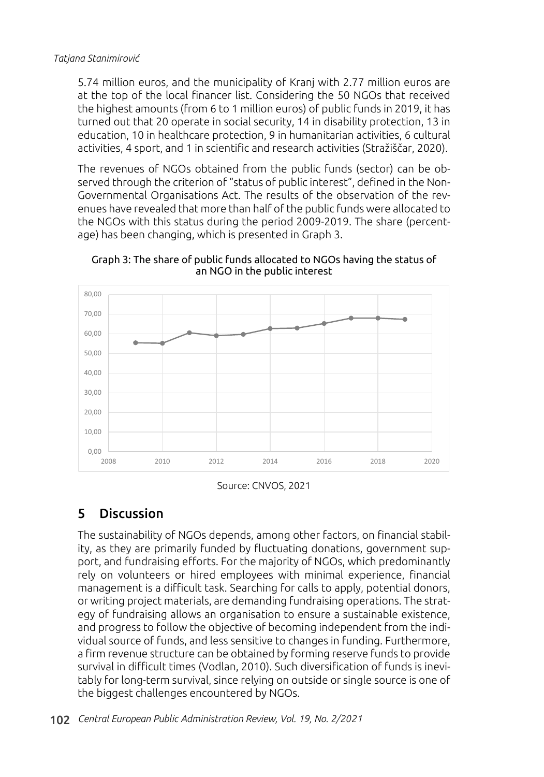5.74 million euros, and the municipality of Kranj with 2.77 million euros are at the top of the local financer list. Considering the 50 NGOs that received the highest amounts (from 6 to 1 million euros) of public funds in 2019, it has turned out that 20 operate in social security, 14 in disability protection, 13 in education, 10 in healthcare protection, 9 in humanitarian activities, 6 cultural activities, 4 sport, and 1 in scientific and research activities (Stražiščar, 2020).

The revenues of NGOs obtained from the public funds (sector) can be observed through the criterion of "status of public interest", defined in the Non-Governmental Organisations Act. The results of the observation of the revenues have revealed that more than half of the public funds were allocated to the NGOs with this status during the period 2009-2019. The share (percentage) has been changing, which is presented in Graph 3.

Graph 3: The share of public funds allocated to NGOs having the status of an NGO in the public interest



Source: CNVOS, 2021

# 5 Discussion

The sustainability of NGOs depends, among other factors, on financial stability, as they are primarily funded by fluctuating donations, government support, and fundraising efforts. For the majority of NGOs, which predominantly rely on volunteers or hired employees with minimal experience, financial management is a difficult task. Searching for calls to apply, potential donors, or writing project materials, are demanding fundraising operations. The strategy of fundraising allows an organisation to ensure a sustainable existence, and progress to follow the objective of becoming independent from the individual source of funds, and less sensitive to changes in funding. Furthermore, a firm revenue structure can be obtained by forming reserve funds to provide survival in difficult times (Vodlan, 2010). Such diversification of funds is inevitably for long-term survival, since relying on outside or single source is one of the biggest challenges encountered by NGOs.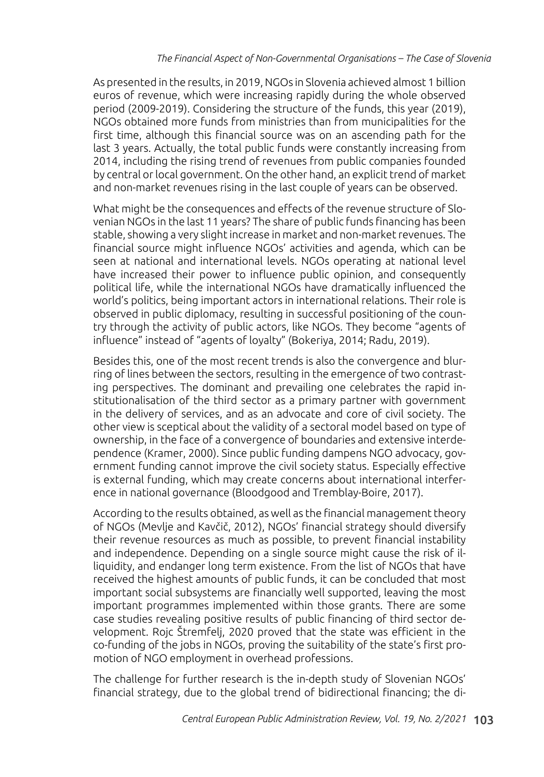As presented in the results, in 2019, NGOs in Slovenia achieved almost 1 billion euros of revenue, which were increasing rapidly during the whole observed period (2009-2019). Considering the structure of the funds, this year (2019), NGOs obtained more funds from ministries than from municipalities for the first time, although this financial source was on an ascending path for the last 3 years. Actually, the total public funds were constantly increasing from 2014, including the rising trend of revenues from public companies founded by central or local government. On the other hand, an explicit trend of market and non-market revenues rising in the last couple of years can be observed.

What might be the consequences and effects of the revenue structure of Slovenian NGOs in the last 11 years? The share of public funds financing has been stable, showing a very slight increase in market and non-market revenues. The financial source might influence NGOs' activities and agenda, which can be seen at national and international levels. NGOs operating at national level have increased their power to influence public opinion, and consequently political life, while the international NGOs have dramatically influenced the world's politics, being important actors in international relations. Their role is observed in public diplomacy, resulting in successful positioning of the country through the activity of public actors, like NGOs. They become "agents of influence" instead of "agents of loyalty" (Bokeriya, 2014; Radu, 2019).

Besides this, one of the most recent trends is also the convergence and blurring of lines between the sectors, resulting in the emergence of two contrasting perspectives. The dominant and prevailing one celebrates the rapid institutionalisation of the third sector as a primary partner with government in the delivery of services, and as an advocate and core of civil society. The other view is sceptical about the validity of a sectoral model based on type of ownership, in the face of a convergence of boundaries and extensive interdependence (Kramer, 2000). Since public funding dampens NGO advocacy, government funding cannot improve the civil society status. Especially effective is external funding, which may create concerns about international interference in national governance (Bloodgood and Tremblay-Boire, 2017).

According to the results obtained, as well as the financial management theory of NGOs (Mevlje and Kavčič, 2012), NGOs' financial strategy should diversify their revenue resources as much as possible, to prevent financial instability and independence. Depending on a single source might cause the risk of illiquidity, and endanger long term existence. From the list of NGOs that have received the highest amounts of public funds, it can be concluded that most important social subsystems are financially well supported, leaving the most important programmes implemented within those grants. There are some case studies revealing positive results of public financing of third sector development. Rojc Štremfelj, 2020 proved that the state was efficient in the co-funding of the jobs in NGOs, proving the suitability of the state's first promotion of NGO employment in overhead professions.

The challenge for further research is the in-depth study of Slovenian NGOs' financial strategy, due to the global trend of bidirectional financing; the di-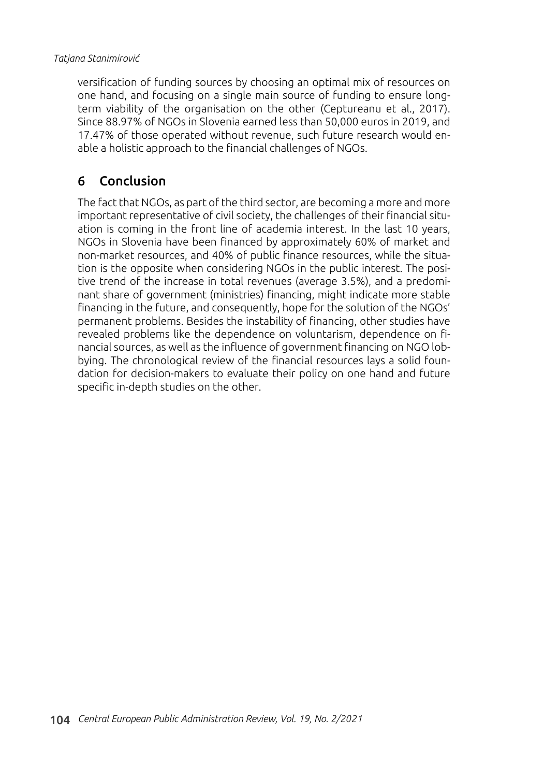versification of funding sources by choosing an optimal mix of resources on one hand, and focusing on a single main source of funding to ensure longterm viability of the organisation on the other (Ceptureanu et al., 2017). Since 88.97% of NGOs in Slovenia earned less than 50,000 euros in 2019, and 17.47% of those operated without revenue, such future research would enable a holistic approach to the financial challenges of NGOs.

### 6 Conclusion

The fact that NGOs, as part of the third sector, are becoming a more and more important representative of civil society, the challenges of their financial situation is coming in the front line of academia interest. In the last 10 years, NGOs in Slovenia have been financed by approximately 60% of market and non-market resources, and 40% of public finance resources, while the situation is the opposite when considering NGOs in the public interest. The positive trend of the increase in total revenues (average 3.5%), and a predominant share of government (ministries) financing, might indicate more stable financing in the future, and consequently, hope for the solution of the NGOs' permanent problems. Besides the instability of financing, other studies have revealed problems like the dependence on voluntarism, dependence on financial sources, as well as the influence of government financing on NGO lobbying. The chronological review of the financial resources lays a solid foundation for decision-makers to evaluate their policy on one hand and future specific in-depth studies on the other.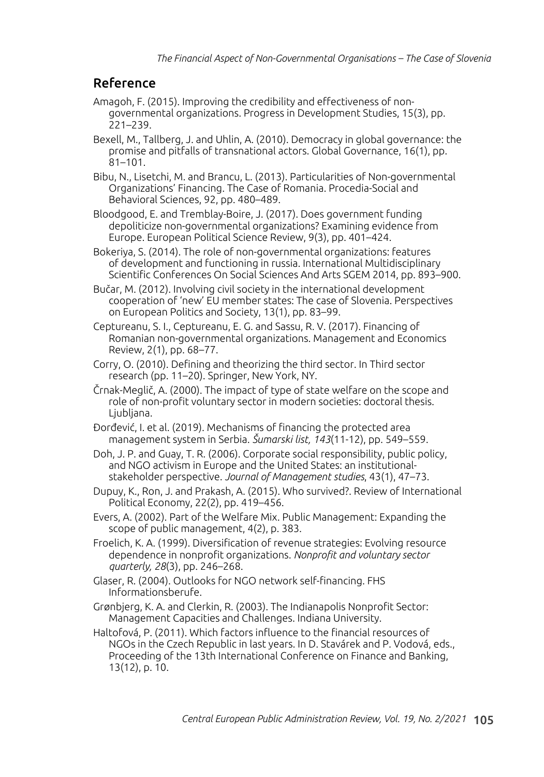### Reference

- Amagoh, F. (2015). Improving the credibility and effectiveness of nongovernmental organizations. Progress in Development Studies, 15(3), pp. 221–239.
- Bexell, M., Tallberg, J. and Uhlin, A. (2010). Democracy in global governance: the promise and pitfalls of transnational actors. Global Governance, 16(1), pp. 81–101.
- Bibu, N., Lisetchi, M. and Brancu, L. (2013). Particularities of Non-governmental Organizations' Financing. The Case of Romania. Procedia-Social and Behavioral Sciences, 92, pp. 480–489.
- Bloodgood, E. and Tremblay-Boire, J. (2017). Does government funding depoliticize non-governmental organizations? Examining evidence from Europe. European Political Science Review, 9(3), pp. 401–424.
- Bokeriya, S. (2014). The role of non-governmental organizations: features of development and functioning in russia. International Multidisciplinary Scientific Conferences On Social Sciences And Arts SGEM 2014, pp. 893–900.
- Bučar, M. (2012). Involving civil society in the international development cooperation of 'new' EU member states: The case of Slovenia. Perspectives on European Politics and Society, 13(1), pp. 83–99.
- Ceptureanu, S. I., Ceptureanu, E. G. and Sassu, R. V. (2017). Financing of Romanian non-governmental organizations. Management and Economics Review, 2(1), pp. 68–77.
- Corry, O. (2010). Defining and theorizing the third sector. In Third sector research (pp. 11–20). Springer, New York, NY.
- Črnak-Meglič, A. (2000). The impact of type of state welfare on the scope and role of non-profit voluntary sector in modern societies: doctoral thesis. Ljubljana.
- Đorđević, I. et al. (2019). Mechanisms of financing the protected area management system in Serbia. *Šumarski list, 143*(11-12), pp. 549–559.
- Doh, J. P. and Guay, T. R. (2006). Corporate social responsibility, public policy, and NGO activism in Europe and the United States: an institutionalstakeholder perspective. *Journal of Management studies*, 43(1), 47–73.
- Dupuy, K., Ron, J. and Prakash, A. (2015). Who survived?. Review of International Political Economy, 22(2), pp. 419–456.
- Evers, A. (2002). Part of the Welfare Mix. Public Management: Expanding the scope of public management, 4(2), p. 383.
- Froelich, K. A. (1999). Diversification of revenue strategies: Evolving resource dependence in nonprofit organizations. *Nonprofit and voluntary sector quarterly, 28*(3), pp. 246–268.
- Glaser, R. (2004). Outlooks for NGO network self-financing. FHS Informationsberufe.
- Grønbjerg, K. A. and Clerkin, R. (2003). The Indianapolis Nonprofit Sector: Management Capacities and Challenges. Indiana University.
- Haltofová, P. (2011). Which factors influence to the financial resources of NGOs in the Czech Republic in last years. In D. Stavárek and P. Vodová, eds., Proceeding of the 13th International Conference on Finance and Banking, 13(12), p. 10.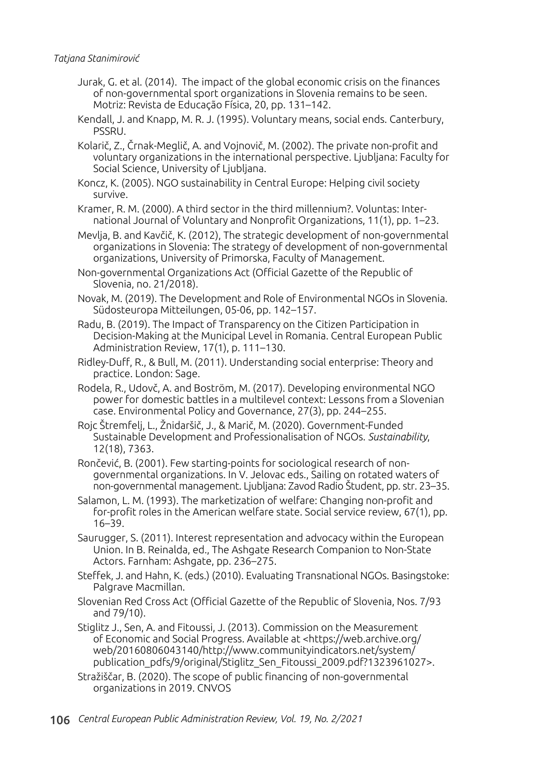- Jurak, G. et al. (2014). The impact of the global economic crisis on the finances of non-governmental sport organizations in Slovenia remains to be seen. Motriz: Revista de Educação Física, 20, pp. 131–142.
- Kendall, J. and Knapp, M. R. J. (1995). Voluntary means, social ends. Canterbury, PSSRU.
- Kolarič, Z., Črnak-Meglič, A. and Vojnovič, M. (2002). The private non-profit and voluntary organizations in the international perspective. Ljubljana: Faculty for Social Science, University of Ljubljana.
- Koncz, K. (2005). NGO sustainability in Central Europe: Helping civil society survive.
- Kramer, R. M. (2000). A third sector in the third millennium?. Voluntas: International Journal of Voluntary and Nonprofit Organizations, 11(1), pp. 1–23.
- Mevlja, B. and Kavčič, K. (2012), The strategic development of non-governmental organizations in Slovenia: The strategy of development of non-governmental organizations, University of Primorska, Faculty of Management.
- Non-governmental Organizations Act (Official Gazette of the Republic of Slovenia, no. 21/2018).
- Novak, M. (2019). The Development and Role of Environmental NGOs in Slovenia. Südosteuropa Mitteilungen, 05-06, pp. 142–157.
- Radu, B. (2019). The Impact of Transparency on the Citizen Participation in Decision-Making at the Municipal Level in Romania. Central European Public Administration Review, 17(1), p. 111–130.
- Ridley-Duff, R., & Bull, M. (2011). Understanding social enterprise: Theory and practice. London: Sage.
- Rodela, R., Udovč, A. and Boström, M. (2017). Developing environmental NGO power for domestic battles in a multilevel context: Lessons from a Slovenian case. Environmental Policy and Governance, 27(3), pp. 244–255.
- Rojc Štremfelj, L., Žnidaršič, J., & Marič, M. (2020). Government-Funded Sustainable Development and Professionalisation of NGOs. *Sustainability*, 12(18), 7363.
- Rončević, B. (2001). Few starting-points for sociological research of nongovernmental organizations. In V. Jelovac eds., Sailing on rotated waters of non-governmental management. Ljubljana: Zavod Radio Študent, pp. str. 23–35.
- Salamon, L. M. (1993). The marketization of welfare: Changing non-profit and for-profit roles in the American welfare state. Social service review, 67(1), pp. 16–39.
- Saurugger, S. (2011). Interest representation and advocacy within the European Union. In B. Reinalda, ed., The Ashgate Research Companion to Non-State Actors. Farnham: Ashgate, pp. 236–275.
- Steffek, J. and Hahn, K. (eds.) (2010). Evaluating Transnational NGOs. Basingstoke: Palgrave Macmillan.
- Slovenian Red Cross Act (Official Gazette of the Republic of Slovenia, Nos. 7/93 and 79/10).
- Stiglitz J., Sen, A. and Fitoussi, J. (2013). Commission on the Measurement of Economic and Social Progress. Available at <https://web.archive.org/ web/20160806043140/http://www.communityindicators.net/system/ publication\_pdfs/9/original/Stiglitz\_Sen\_Fitoussi\_2009.pdf?1323961027>.
- Stražiščar, B. (2020). The scope of public financing of non-governmental organizations in 2019. CNVOS